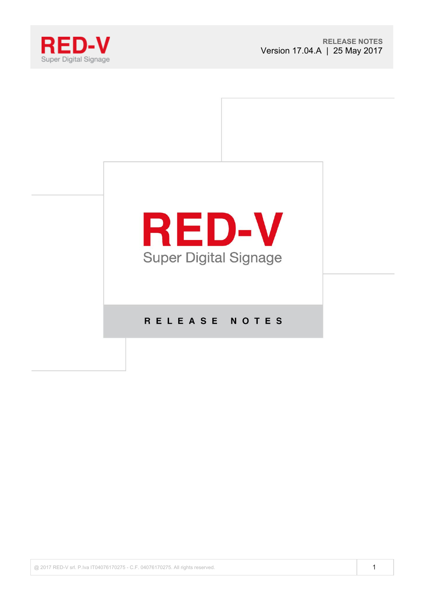



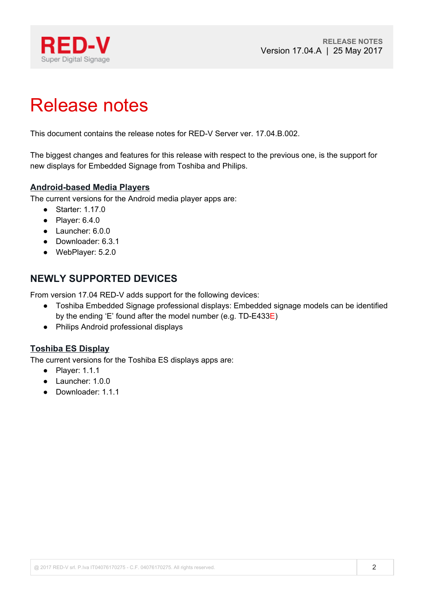

# Release notes

This document contains the release notes for RED-V Server ver. 17.04.B.002.

The biggest changes and features for this release with respect to the previous one, is the support for new displays for Embedded Signage from Toshiba and Philips.

#### **Android-based Media Players**

The current versions for the Android media player apps are:

- Starter: 1.17.0
- $\bullet$  Player: 6.4.0
- Launcher: 6.0.0
- Downloader: 6.3.1
- WebPlayer: 5.2.0

## **NEWLY SUPPORTED DEVICES**

From version 17.04 RED-V adds support for the following devices:

- Toshiba Embedded Signage professional displays: Embedded signage models can be identified by the ending 'E' found after the model number (e.g. TD-E433E)
- Philips Android professional displays

#### **Toshiba ES Display**

The current versions for the Toshiba ES displays apps are:

- Player: 1.1.1
- Launcher: 1.0.0
- Downloader: 1.1.1